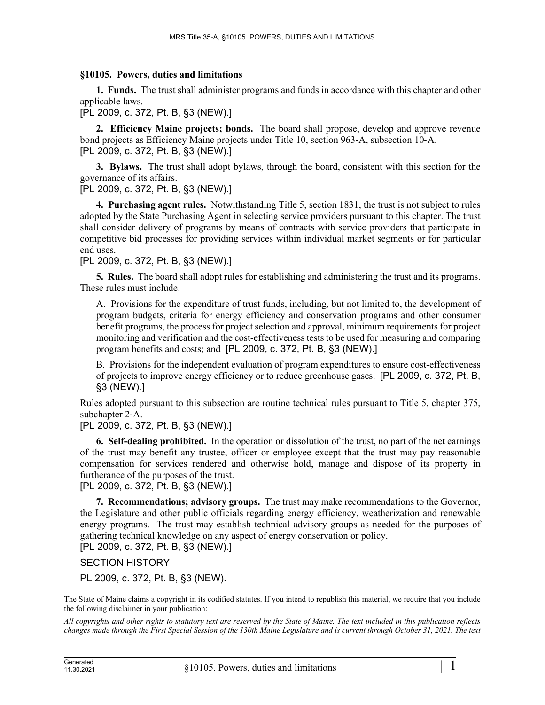## **§10105. Powers, duties and limitations**

**1. Funds.** The trust shall administer programs and funds in accordance with this chapter and other applicable laws.

[PL 2009, c. 372, Pt. B, §3 (NEW).]

**2. Efficiency Maine projects; bonds.** The board shall propose, develop and approve revenue bond projects as Efficiency Maine projects under Title 10, section 963–A, subsection 10-A. [PL 2009, c. 372, Pt. B, §3 (NEW).]

**3. Bylaws.** The trust shall adopt bylaws, through the board, consistent with this section for the governance of its affairs.

[PL 2009, c. 372, Pt. B, §3 (NEW).]

**4. Purchasing agent rules.** Notwithstanding Title 5, section 1831, the trust is not subject to rules adopted by the State Purchasing Agent in selecting service providers pursuant to this chapter. The trust shall consider delivery of programs by means of contracts with service providers that participate in competitive bid processes for providing services within individual market segments or for particular end uses.

[PL 2009, c. 372, Pt. B, §3 (NEW).]

**5. Rules.** The board shall adopt rules for establishing and administering the trust and its programs. These rules must include:

A. Provisions for the expenditure of trust funds, including, but not limited to, the development of program budgets, criteria for energy efficiency and conservation programs and other consumer benefit programs, the process for project selection and approval, minimum requirements for project monitoring and verification and the cost-effectiveness tests to be used for measuring and comparing program benefits and costs; and [PL 2009, c. 372, Pt. B, §3 (NEW).]

B. Provisions for the independent evaluation of program expenditures to ensure cost-effectiveness of projects to improve energy efficiency or to reduce greenhouse gases. [PL 2009, c. 372, Pt. B, §3 (NEW).]

Rules adopted pursuant to this subsection are routine technical rules pursuant to Title 5, chapter 375, subchapter 2‑A.

[PL 2009, c. 372, Pt. B, §3 (NEW).]

**6. Self-dealing prohibited.** In the operation or dissolution of the trust, no part of the net earnings of the trust may benefit any trustee, officer or employee except that the trust may pay reasonable compensation for services rendered and otherwise hold, manage and dispose of its property in furtherance of the purposes of the trust.

[PL 2009, c. 372, Pt. B, §3 (NEW).]

**7. Recommendations; advisory groups.** The trust may make recommendations to the Governor, the Legislature and other public officials regarding energy efficiency, weatherization and renewable energy programs. The trust may establish technical advisory groups as needed for the purposes of gathering technical knowledge on any aspect of energy conservation or policy. [PL 2009, c. 372, Pt. B, §3 (NEW).]

SECTION HISTORY

PL 2009, c. 372, Pt. B, §3 (NEW).

The State of Maine claims a copyright in its codified statutes. If you intend to republish this material, we require that you include the following disclaimer in your publication:

*All copyrights and other rights to statutory text are reserved by the State of Maine. The text included in this publication reflects changes made through the First Special Session of the 130th Maine Legislature and is current through October 31, 2021. The text*